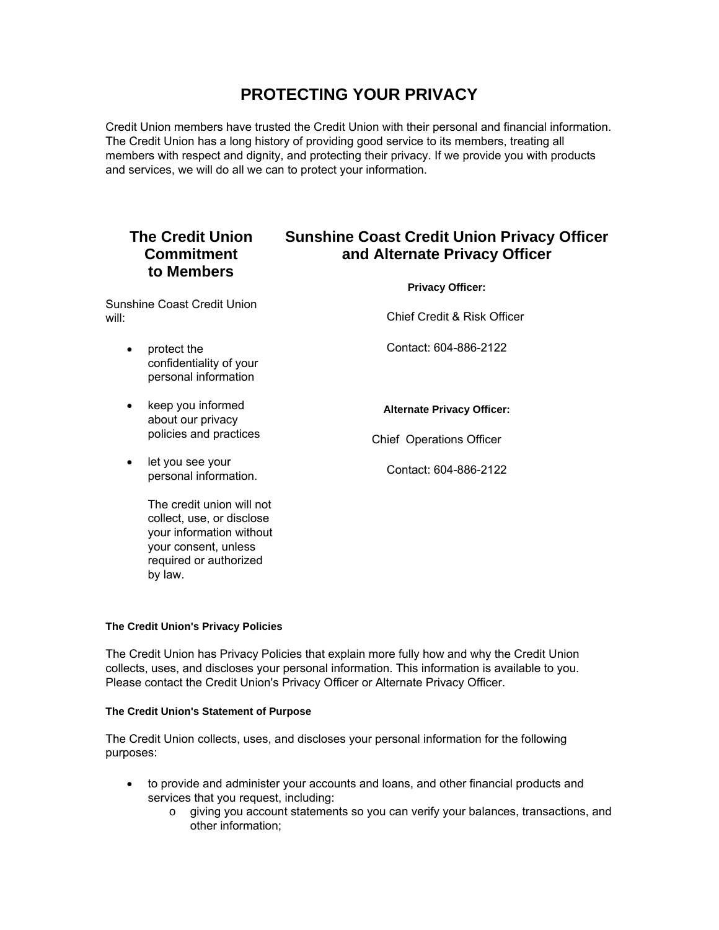# **PROTECTING YOUR PRIVACY**

Credit Union members have trusted the Credit Union with their personal and financial information. The Credit Union has a long history of providing good service to its members, treating all members with respect and dignity, and protecting their privacy. If we provide you with products and services, we will do all we can to protect your information.

## **The Credit Union Commitment to Members**

# **Sunshine Coast Credit Union Privacy Officer and Alternate Privacy Officer**

**Privacy Officer:** 

Sunshine Coast Credit Union will:

• protect the

Chief Credit & Risk Officer

Contact: 604-886-2122

- confidentiality of your personal information
- keep you informed about our privacy policies and practices
- let you see your personal information.

**Alternate Privacy Officer:** 

Chief Operations Officer

Contact: 604-886-2122

The credit union will not collect, use, or disclose your information without your consent, unless required or authorized by law.

### **The Credit Union's Privacy Policies**

The Credit Union has Privacy Policies that explain more fully how and why the Credit Union collects, uses, and discloses your personal information. This information is available to you. Please contact the Credit Union's Privacy Officer or Alternate Privacy Officer.

### **The Credit Union's Statement of Purpose**

The Credit Union collects, uses, and discloses your personal information for the following purposes:

- to provide and administer your accounts and loans, and other financial products and services that you request, including:
	- $\circ$  giving you account statements so you can verify your balances, transactions, and other information;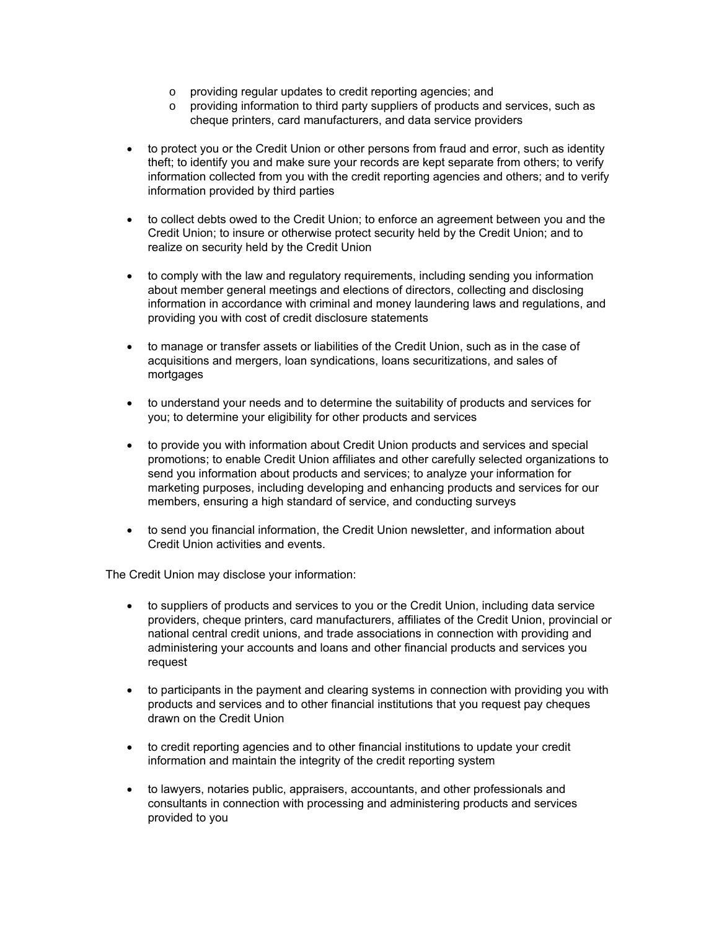- o providing regular updates to credit reporting agencies; and
- $\circ$  providing information to third party suppliers of products and services, such as cheque printers, card manufacturers, and data service providers
- to protect you or the Credit Union or other persons from fraud and error, such as identity theft; to identify you and make sure your records are kept separate from others; to verify information collected from you with the credit reporting agencies and others; and to verify information provided by third parties
- to collect debts owed to the Credit Union; to enforce an agreement between you and the Credit Union; to insure or otherwise protect security held by the Credit Union; and to realize on security held by the Credit Union
- to comply with the law and regulatory requirements, including sending you information about member general meetings and elections of directors, collecting and disclosing information in accordance with criminal and money laundering laws and regulations, and providing you with cost of credit disclosure statements
- to manage or transfer assets or liabilities of the Credit Union, such as in the case of acquisitions and mergers, loan syndications, loans securitizations, and sales of mortgages
- to understand your needs and to determine the suitability of products and services for you; to determine your eligibility for other products and services
- to provide you with information about Credit Union products and services and special promotions; to enable Credit Union affiliates and other carefully selected organizations to send you information about products and services; to analyze your information for marketing purposes, including developing and enhancing products and services for our members, ensuring a high standard of service, and conducting surveys
- to send you financial information, the Credit Union newsletter, and information about Credit Union activities and events.

The Credit Union may disclose your information:

- to suppliers of products and services to you or the Credit Union, including data service providers, cheque printers, card manufacturers, affiliates of the Credit Union, provincial or national central credit unions, and trade associations in connection with providing and administering your accounts and loans and other financial products and services you request
- to participants in the payment and clearing systems in connection with providing you with products and services and to other financial institutions that you request pay cheques drawn on the Credit Union
- to credit reporting agencies and to other financial institutions to update your credit information and maintain the integrity of the credit reporting system
- to lawyers, notaries public, appraisers, accountants, and other professionals and consultants in connection with processing and administering products and services provided to you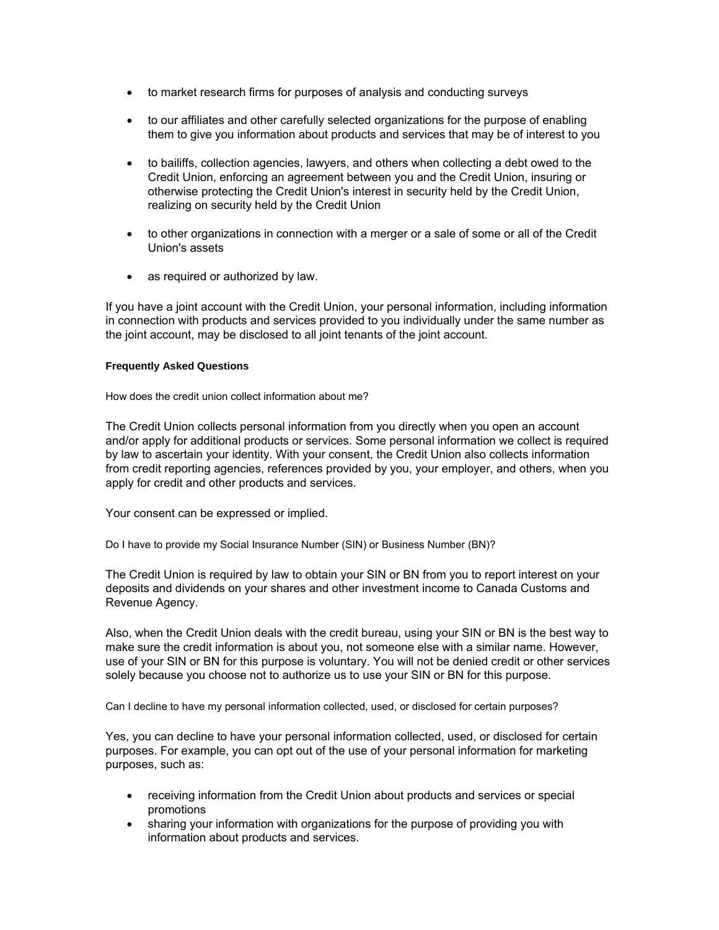- to market research firms for purposes of analysis and conducting surveys
- to our affiliates and other carefully selected organizations for the purpose of enabling them to give you information about products and services that may be of interest to you
- to bailiffs, collection agencies, lawyers, and others when collecting a debt owed to the Credit Union, enforcing an agreement between you and the Credit Union, insuring or otherwise protecting the Credit Union's interest in security held by the Credit Union, realizing on security held by the Credit Union
- to other organizations in connection with a merger or a sale of some or all of the Credit Union's assets
- as required or authorized by law.

If you have a joint account with the Credit Union, your personal information, including information in connection with products and services provided to you individually under the same number as the joint account, may be disclosed to all joint tenants of the joint account.

### **Frequently Asked Questions**

How does the credit union collect information about me?

The Credit Union collects personal information from you directly when you open an account and/or apply for additional products or services. Some personal information we collect is required by law to ascertain your identity. With your consent, the Credit Union also collects information from credit reporting agencies, references provided by you, your employer, and others, when you apply for credit and other products and services.

Your consent can be expressed or implied.

Do I have to provide my Social Insurance Number (SIN) or Business Number (BN)?

The Credit Union is required by law to obtain your SIN or BN from you to report interest on your deposits and dividends on your shares and other investment income to Canada Customs and Revenue Agency.

Also, when the Credit Union deals with the credit bureau, using your SIN or BN is the best way to make sure the credit information is about you, not someone else with a similar name. However, use of your SIN or BN for this purpose is voluntary. You will not be denied credit or other services solely because you choose not to authorize us to use your SIN or BN for this purpose.

Can I decline to have my personal information collected, used, or disclosed for certain purposes?

Yes, you can decline to have your personal information collected, used, or disclosed for certain purposes. For example, you can opt out of the use of your personal information for marketing purposes, such as:

- receiving information from the Credit Union about products and services or special promotions
- sharing your information with organizations for the purpose of providing you with information about products and services.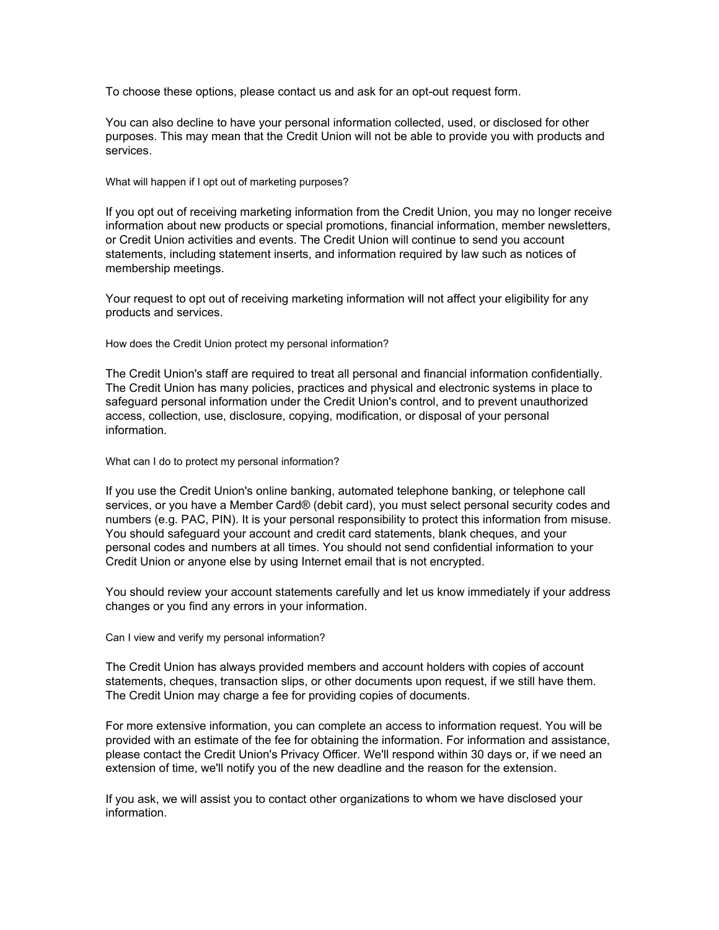To choose these options, please contact us and ask for an opt-out request form.

You can also decline to have your personal information collected, used, or disclosed for other purposes. This may mean that the Credit Union will not be able to provide you with products and services.

What will happen if I opt out of marketing purposes?

If you opt out of receiving marketing information from the Credit Union, you may no longer receive information about new products or special promotions, financial information, member newsletters, or Credit Union activities and events. The Credit Union will continue to send you account statements, including statement inserts, and information required by law such as notices of membership meetings.

Your request to opt out of receiving marketing information will not affect your eligibility for any products and services.

How does the Credit Union protect my personal information?

The Credit Union's staff are required to treat all personal and financial information confidentially. The Credit Union has many policies, practices and physical and electronic systems in place to safeguard personal information under the Credit Union's control, and to prevent unauthorized access, collection, use, disclosure, copying, modification, or disposal of your personal information.

What can I do to protect my personal information?

If you use the Credit Union's online banking, automated telephone banking, or telephone call services, or you have a Member Card® (debit card), you must select personal security codes and numbers (e.g. PAC, PIN). It is your personal responsibility to protect this information from misuse. You should safeguard your account and credit card statements, blank cheques, and your personal codes and numbers at all times. You should not send confidential information to your Credit Union or anyone else by using Internet email that is not encrypted.

You should review your account statements carefully and let us know immediately if your address changes or you find any errors in your information.

Can I view and verify my personal information?

The Credit Union has always provided members and account holders with copies of account statements, cheques, transaction slips, or other documents upon request, if we still have them. The Credit Union may charge a fee for providing copies of documents.

For more extensive information, you can complete an access to information request. You will be provided with an estimate of the fee for obtaining the information. For information and assistance, please contact the Credit Union's Privacy Officer. We'll respond within 30 days or, if we need an extension of time, we'll notify you of the new deadline and the reason for the extension.

If you ask, we will assist you to contact other organizations to whom we have disclosed your information.